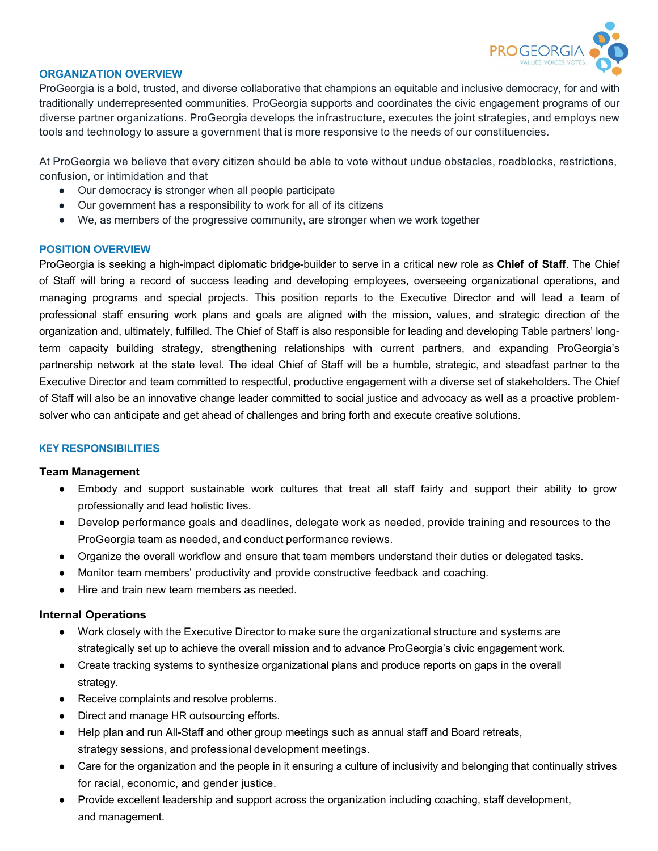

## **ORGANIZATION OVERVIEW**

ProGeorgia is a bold, trusted, and diverse collaborative that champions an equitable and inclusive democracy, for and with traditionally underrepresented communities. ProGeorgia supports and coordinates the civic engagement programs of our diverse partner organizations. ProGeorgia develops the infrastructure, executes the joint strategies, and employs new tools and technology to assure a government that is more responsive to the needs of our constituencies.

At ProGeorgia we believe that every citizen should be able to vote without undue obstacles, roadblocks, restrictions, confusion, or intimidation and that

- Our democracy is stronger when all people participate
- Our government has a responsibility to work for all of its citizens
- We, as members of the progressive community, are stronger when we work together

### **POSITION OVERVIEW**

ProGeorgia is seeking a high-impact diplomatic bridge-builder to serve in a critical new role as **Chief of Staff**. The Chief of Staff will bring a record of success leading and developing employees, overseeing organizational operations, and managing programs and special projects. This position reports to the Executive Director and will lead a team of professional staff ensuring work plans and goals are aligned with the mission, values, and strategic direction of the organization and, ultimately, fulfilled. The Chief of Staff is also responsible for leading and developing Table partners' longterm capacity building strategy, strengthening relationships with current partners, and expanding ProGeorgia's partnership network at the state level. The ideal Chief of Staff will be a humble, strategic, and steadfast partner to the Executive Director and team committed to respectful, productive engagement with a diverse set of stakeholders. The Chief of Staff will also be an innovative change leader committed to social justice and advocacy as well as a proactive problemsolver who can anticipate and get ahead of challenges and bring forth and execute creative solutions.

#### **KEY RESPONSIBILITIES**

#### **Team Management**

- Embody and support sustainable work cultures that treat all staff fairly and support their ability to grow professionally and lead holistic lives.
- Develop performance goals and deadlines, delegate work as needed, provide training and resources to the ProGeorgia team as needed, and conduct performance reviews.
- Organize the overall workflow and ensure that team members understand their duties or delegated tasks.
- Monitor team members' productivity and provide constructive feedback and coaching.
- Hire and train new team members as needed.

#### **Internal Operations**

- Work closely with the Executive Director to make sure the organizational structure and systems are strategically set up to achieve the overall mission and to advance ProGeorgia's civic engagement work.
- Create tracking systems to synthesize organizational plans and produce reports on gaps in the overall strategy.
- Receive complaints and resolve problems.
- Direct and manage HR outsourcing efforts.
- Help plan and run All-Staff and other group meetings such as annual staff and Board retreats, strategy sessions, and professional development meetings.
- Care for the organization and the people in it ensuring a culture of inclusivity and belonging that continually strives for racial, economic, and gender justice.
- Provide excellent leadership and support across the organization including coaching, staff development, and management.